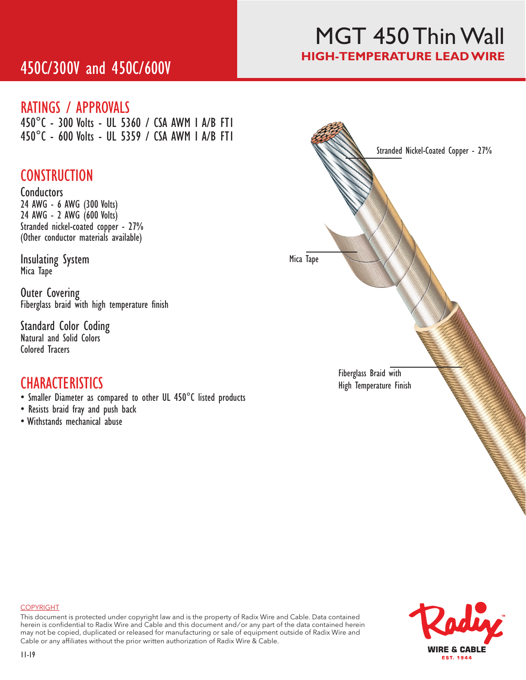# 450C/300V and 450C/600V

## MGT 450 Thin Wall **HIGH-TEMPERATURE LEAD WIRE**

### RATINGS / APPROVALS

450°C - 300 Volts - UL 5360 / CSA AWM I A/B FT1 450°C - 600 Volts - UL 5359 / CSA AWM I A/B FT1

## **CONSTRUCTION**

**Conductors** 24 AWG - 6 AWG (300 Volts) 24 AWG - 2 AWG (600 Volts) Stranded nickel-coated copper - 27% (Other conductor materials available)

Insulating System Mica Tape

Outer Covering Fiberglass braid with high temperature finish

Standard Color Coding Natural and Solid Colors Colored Tracers

## **CHARACTERISTICS**

- Smaller Diameter as compared to other UL 450°C listed products
- Resists braid fray and push back
- Withstands mechanical abuse





#### COPYRIGHT

This document is protected under copyright law and is the property of Radix Wire and Cable. Data contained herein is confidential to Radix Wire and Cable and this document and / or any part of the data contained herein may not be copied, duplicated or released for manufacturing or sale of equipment outside of Radix Wire and Cable or any affiliates without the prior written authorization of Radix Wire & Cable.